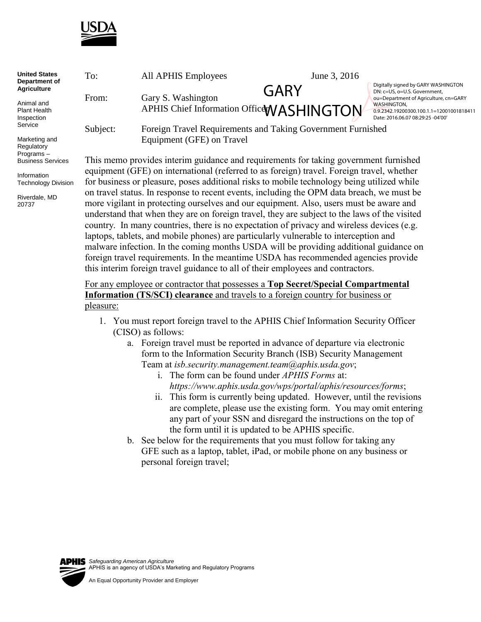

| <b>United States</b><br>Department of<br><b>Agriculture</b><br>Animal and<br>Plant Health<br>Inspection<br>Service | To:      | All APHIS Employees                                                                  | June 3, 2016                                      |                                                                                                                                                                                                                     |  |
|--------------------------------------------------------------------------------------------------------------------|----------|--------------------------------------------------------------------------------------|---------------------------------------------------|---------------------------------------------------------------------------------------------------------------------------------------------------------------------------------------------------------------------|--|
|                                                                                                                    | From:    | Gary S. Washington                                                                   | GARY<br>APHIS Chief Information Office WASHINGTON | Digitally signed by GARY WASHINGTON<br>DN: c=US, o=U.S. Government,<br>ou=Department of Agriculture, cn=GARY<br><b>WASHINGTON.</b><br>0.9.2342.19200300.100.1.1=12001001818411<br>Date: 2016.06.07 08:29:25 -04'00' |  |
|                                                                                                                    | Subject: | Foreign Travel Requirements and Taking Government Furnished                          |                                                   |                                                                                                                                                                                                                     |  |
| Marketing and<br>Regulatory<br>Programs-                                                                           |          | Equipment (GFE) on Travel                                                            |                                                   |                                                                                                                                                                                                                     |  |
| <b>Business Services</b>                                                                                           |          | This memo provides interim guidance and requirements for taking government furnished |                                                   |                                                                                                                                                                                                                     |  |

Information Technology Division

Riverdale, MD 20737

equipment (GFE) on international (referred to as foreign) travel. Foreign travel, whether for business or pleasure, poses additional risks to mobile technology being utilized while on travel status. In response to recent events, including the OPM data breach, we must be more vigilant in protecting ourselves and our equipment. Also, users must be aware and understand that when they are on foreign travel, they are subject to the laws of the visited country. In many countries, there is no expectation of privacy and wireless devices (e.g. laptops, tablets, and mobile phones) are particularly vulnerable to interception and malware infection. In the coming months USDA will be providing additional guidance on foreign travel requirements. In the meantime USDA has recommended agencies provide this interim foreign travel guidance to all of their employees and contractors.

## For any employee or contractor that possesses a **Top Secret/Special Compartmental Information (TS/SCI) clearance** and travels to a foreign country for business or pleasure:

- 1. You must report foreign travel to the APHIS Chief Information Security Officer (CISO) as follows:
	- a. Foreign travel must be reported in advance of departure via electronic form to the Information Security Branch (ISB) Security Management Team at *isb.security.management.team@aphis.usda.gov*;
		- i. The form can be found under *APHIS Forms* at: *https://www.aphis.usda.gov/wps/portal/aphis/resources/forms*;
		- ii. This form is currently being updated. However, until the revisions are complete, please use the existing form. You may omit entering any part of your SSN and disregard the instructions on the top of the form until it is updated to be APHIS specific.
	- b. See below for the requirements that you must follow for taking any GFE such as a laptop, tablet, iPad, or mobile phone on any business or personal foreign travel;

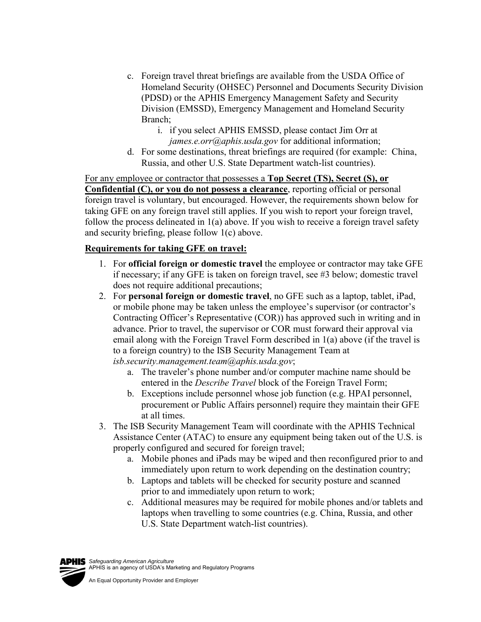- c. Foreign travel threat briefings are available from the USDA Office of Homeland Security (OHSEC) Personnel and Documents Security Division (PDSD) or the APHIS Emergency Management Safety and Security Division (EMSSD), Emergency Management and Homeland Security Branch;
	- i. if you select APHIS EMSSD, please contact Jim Orr at *james.e.orr@aphis.usda.gov* for additional information;
- d. For some destinations, threat briefings are required (for example: China, Russia, and other U.S. State Department watch-list countries).

For any employee or contractor that possesses a **Top Secret (TS), Secret (S), or Confidential (C), or you do not possess a clearance**, reporting official or personal foreign travel is voluntary, but encouraged. However, the requirements shown below for taking GFE on any foreign travel still applies. If you wish to report your foreign travel, follow the process delineated in 1(a) above. If you wish to receive a foreign travel safety and security briefing, please follow 1(c) above.

## **Requirements for taking GFE on travel:**

- 1. For **official foreign or domestic travel** the employee or contractor may take GFE if necessary; if any GFE is taken on foreign travel, see #3 below; domestic travel does not require additional precautions;
- 2. For **personal foreign or domestic travel**, no GFE such as a laptop, tablet, iPad, or mobile phone may be taken unless the employee's supervisor (or contractor's Contracting Officer's Representative (COR)) has approved such in writing and in advance. Prior to travel, the supervisor or COR must forward their approval via email along with the Foreign Travel Form described in 1(a) above (if the travel is to a foreign country) to the ISB Security Management Team at *isb.security.management.team@aphis.usda.gov*;
	- a. The traveler's phone number and/or computer machine name should be entered in the *Describe Travel* block of the Foreign Travel Form;
	- b. Exceptions include personnel whose job function (e.g. HPAI personnel, procurement or Public Affairs personnel) require they maintain their GFE at all times.
- 3. The ISB Security Management Team will coordinate with the APHIS Technical Assistance Center (ATAC) to ensure any equipment being taken out of the U.S. is properly configured and secured for foreign travel;
	- a. Mobile phones and iPads may be wiped and then reconfigured prior to and immediately upon return to work depending on the destination country;
	- b. Laptops and tablets will be checked for security posture and scanned prior to and immediately upon return to work;
	- c. Additional measures may be required for mobile phones and/or tablets and laptops when travelling to some countries (e.g. China, Russia, and other U.S. State Department watch-list countries).